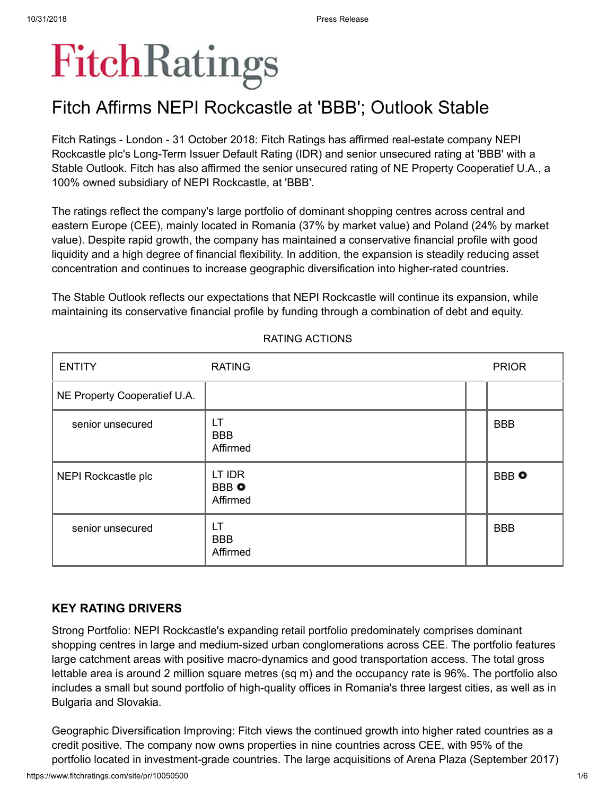# FitchRatings

## Fitch Affirms NEPI Rockcastle at 'BBB'; Outlook Stable

Fitch Ratings - London - 31 October 2018: Fitch Ratings has affirmed real-estate company NEPI Rockcastle plc's Long-Term Issuer Default Rating (IDR) and senior unsecured rating at 'BBB' with a Stable Outlook. Fitch has also affirmed the senior unsecured rating of NE Property Cooperatief U.A., a 100% owned subsidiary of NEPI Rockcastle, at 'BBB'.

The ratings reflect the company's large portfolio of dominant shopping centres across central and eastern Europe (CEE), mainly located in Romania (37% by market value) and Poland (24% by market value). Despite rapid growth, the company has maintained a conservative financial profile with good liquidity and a high degree of financial flexibility. In addition, the expansion is steadily reducing asset concentration and continues to increase geographic diversification into higher-rated countries.

The Stable Outlook reflects our expectations that NEPI Rockcastle will continue its expansion, while maintaining its conservative financial profile by funding through a combination of debt and equity.

| <b>ENTITY</b>                | <b>RATING</b>                      | <b>PRIOR</b> |
|------------------------------|------------------------------------|--------------|
| NE Property Cooperatief U.A. |                                    |              |
| senior unsecured             | LT<br><b>BBB</b><br>Affirmed       | <b>BBB</b>   |
| NEPI Rockcastle plc          | LT IDR<br><b>BBB</b> O<br>Affirmed | <b>BBB</b> O |
| senior unsecured             | LT<br><b>BBB</b><br>Affirmed       | <b>BBB</b>   |

#### RATING ACTIONS

## **KEY RATING DRIVERS**

Strong Portfolio: NEPI Rockcastle's expanding retail portfolio predominately comprises dominant shopping centres in large and medium-sized urban conglomerations across CEE. The portfolio features large catchment areas with positive macro-dynamics and good transportation access. The total gross lettable area is around 2 million square metres (sq m) and the occupancy rate is 96%. The portfolio also includes a small but sound portfolio of high-quality offices in Romania's three largest cities, as well as in Bulgaria and Slovakia.

Geographic Diversification Improving: Fitch views the continued growth into higher rated countries as a credit positive. The company now owns properties in nine countries across CEE, with 95% of the portfolio located in investment-grade countries. The large acquisitions of Arena Plaza (September 2017)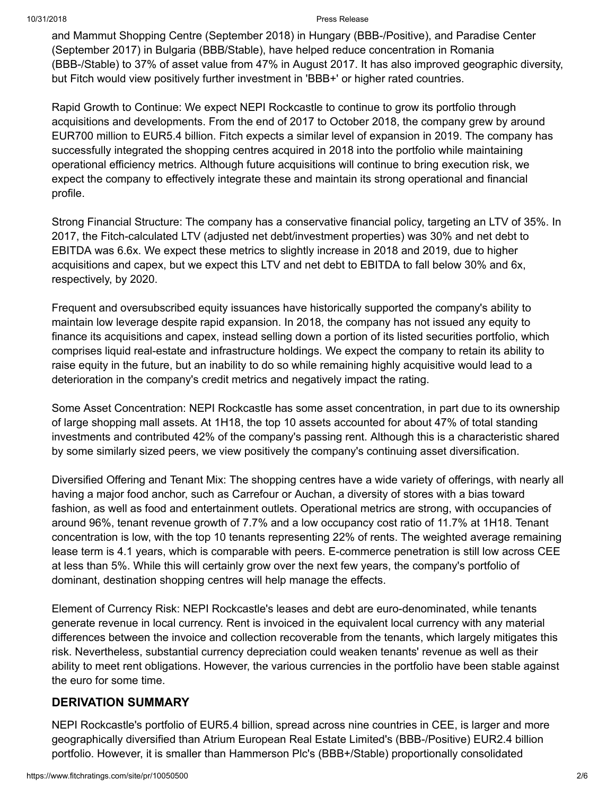and Mammut Shopping Centre (September 2018) in Hungary (BBB-/Positive), and Paradise Center (September 2017) in Bulgaria (BBB/Stable), have helped reduce concentration in Romania (BBB-/Stable) to 37% of asset value from 47% in August 2017. It has also improved geographic diversity, but Fitch would view positively further investment in 'BBB+' or higher rated countries.

Rapid Growth to Continue: We expect NEPI Rockcastle to continue to grow its portfolio through acquisitions and developments. From the end of 2017 to October 2018, the company grew by around EUR700 million to EUR5.4 billion. Fitch expects a similar level of expansion in 2019. The company has successfully integrated the shopping centres acquired in 2018 into the portfolio while maintaining operational efficiency metrics. Although future acquisitions will continue to bring execution risk, we expect the company to effectively integrate these and maintain its strong operational and financial profile.

Strong Financial Structure: The company has a conservative financial policy, targeting an LTV of 35%. In 2017, the Fitch-calculated LTV (adjusted net debt/investment properties) was 30% and net debt to EBITDA was 6.6x. We expect these metrics to slightly increase in 2018 and 2019, due to higher acquisitions and capex, but we expect this LTV and net debt to EBITDA to fall below 30% and 6x, respectively, by 2020.

Frequent and oversubscribed equity issuances have historically supported the company's ability to maintain low leverage despite rapid expansion. In 2018, the company has not issued any equity to finance its acquisitions and capex, instead selling down a portion of its listed securities portfolio, which comprises liquid real-estate and infrastructure holdings. We expect the company to retain its ability to raise equity in the future, but an inability to do so while remaining highly acquisitive would lead to a deterioration in the company's credit metrics and negatively impact the rating.

Some Asset Concentration: NEPI Rockcastle has some asset concentration, in part due to its ownership of large shopping mall assets. At 1H18, the top 10 assets accounted for about 47% of total standing investments and contributed 42% of the company's passing rent. Although this is a characteristic shared by some similarly sized peers, we view positively the company's continuing asset diversification.

Diversified Offering and Tenant Mix: The shopping centres have a wide variety of offerings, with nearly all having a major food anchor, such as Carrefour or Auchan, a diversity of stores with a bias toward fashion, as well as food and entertainment outlets. Operational metrics are strong, with occupancies of around 96%, tenant revenue growth of 7.7% and a low occupancy cost ratio of 11.7% at 1H18. Tenant concentration is low, with the top 10 tenants representing 22% of rents. The weighted average remaining lease term is 4.1 years, which is comparable with peers. E-commerce penetration is still low across CEE at less than 5%. While this will certainly grow over the next few years, the company's portfolio of dominant, destination shopping centres will help manage the effects.

Element of Currency Risk: NEPI Rockcastle's leases and debt are euro-denominated, while tenants generate revenue in local currency. Rent is invoiced in the equivalent local currency with any material differences between the invoice and collection recoverable from the tenants, which largely mitigates this risk. Nevertheless, substantial currency depreciation could weaken tenants' revenue as well as their ability to meet rent obligations. However, the various currencies in the portfolio have been stable against the euro for some time.

#### **DERIVATION SUMMARY**

NEPI Rockcastle's portfolio of EUR5.4 billion, spread across nine countries in CEE, is larger and more geographically diversified than Atrium European Real Estate Limited's (BBB-/Positive) EUR2.4 billion portfolio. However, it is smaller than Hammerson Plc's (BBB+/Stable) proportionally consolidated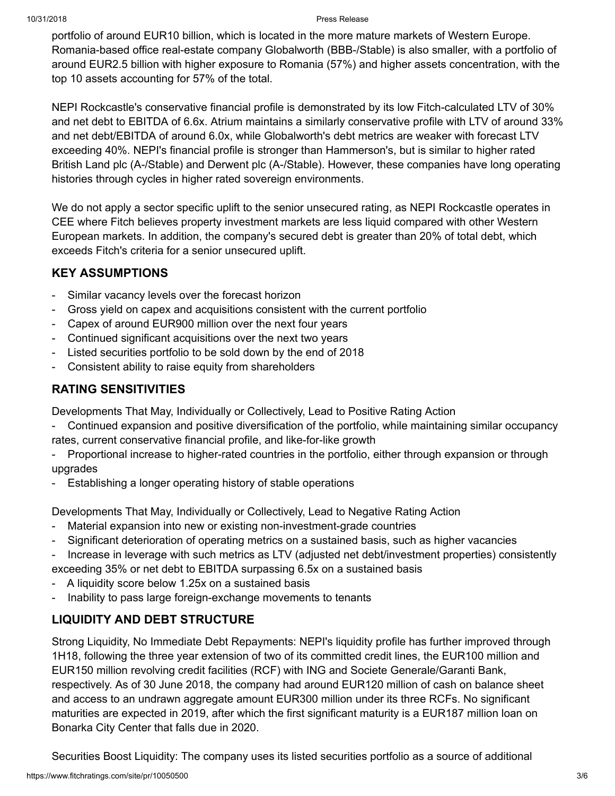portfolio of around EUR10 billion, which is located in the more mature markets of Western Europe. Romania-based office real-estate company Globalworth (BBB-/Stable) is also smaller, with a portfolio of around EUR2.5 billion with higher exposure to Romania (57%) and higher assets concentration, with the top 10 assets accounting for 57% of the total.

NEPI Rockcastle's conservative financial profile is demonstrated by its low Fitch-calculated LTV of 30% and net debt to EBITDA of 6.6x. Atrium maintains a similarly conservative profile with LTV of around 33% and net debt/EBITDA of around 6.0x, while Globalworth's debt metrics are weaker with forecast LTV exceeding 40%. NEPI's financial profile is stronger than Hammerson's, but is similar to higher rated British Land plc (A-/Stable) and Derwent plc (A-/Stable). However, these companies have long operating histories through cycles in higher rated sovereign environments.

We do not apply a sector specific uplift to the senior unsecured rating, as NEPI Rockcastle operates in CEE where Fitch believes property investment markets are less liquid compared with other Western European markets. In addition, the company's secured debt is greater than 20% of total debt, which exceeds Fitch's criteria for a senior unsecured uplift.

## **KEY ASSUMPTIONS**

- Similar vacancy levels over the forecast horizon
- Gross yield on capex and acquisitions consistent with the current portfolio
- Capex of around EUR900 million over the next four years
- Continued significant acquisitions over the next two years
- Listed securities portfolio to be sold down by the end of 2018
- Consistent ability to raise equity from shareholders

## **RATING SENSITIVITIES**

Developments That May, Individually or Collectively, Lead to Positive Rating Action

- Continued expansion and positive diversification of the portfolio, while maintaining similar occupancy rates, current conservative financial profile, and like-for-like growth
- Proportional increase to higher-rated countries in the portfolio, either through expansion or through upgrades
- Establishing a longer operating history of stable operations

Developments That May, Individually or Collectively, Lead to Negative Rating Action

- Material expansion into new or existing non-investment-grade countries
- Significant deterioration of operating metrics on a sustained basis, such as higher vacancies
- Increase in leverage with such metrics as LTV (adjusted net debt/investment properties) consistently

exceeding 35% or net debt to EBITDA surpassing 6.5x on a sustained basis

- A liquidity score below 1.25x on a sustained basis
- Inability to pass large foreign-exchange movements to tenants

## **LIQUIDITY AND DEBT STRUCTURE**

Strong Liquidity, No Immediate Debt Repayments: NEPI's liquidity profile has further improved through 1H18, following the three year extension of two of its committed credit lines, the EUR100 million and EUR150 million revolving credit facilities (RCF) with ING and Societe Generale/Garanti Bank, respectively. As of 30 June 2018, the company had around EUR120 million of cash on balance sheet and access to an undrawn aggregate amount EUR300 million under its three RCFs. No significant maturities are expected in 2019, after which the first significant maturity is a EUR187 million loan on Bonarka City Center that falls due in 2020.

Securities Boost Liquidity: The company uses its listed securities portfolio as a source of additional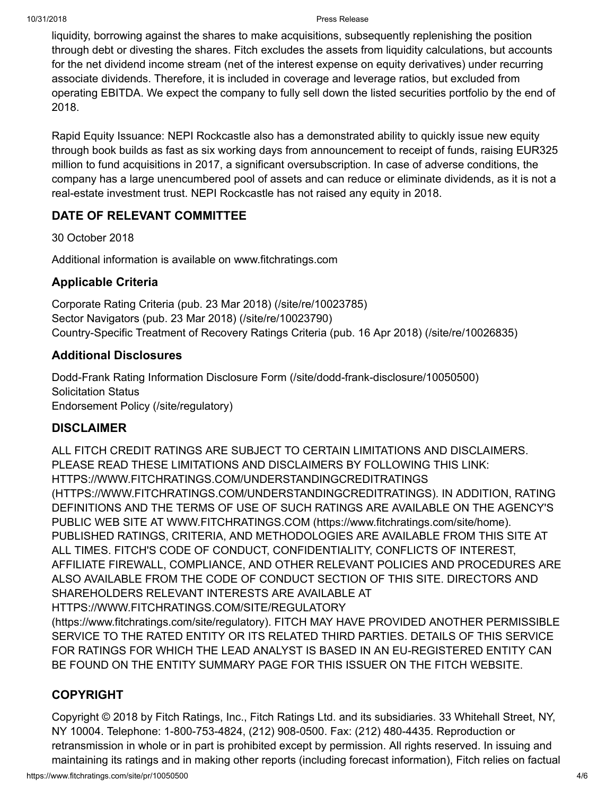liquidity, borrowing against the shares to make acquisitions, subsequently replenishing the position through debt or divesting the shares. Fitch excludes the assets from liquidity calculations, but accounts for the net dividend income stream (net of the interest expense on equity derivatives) under recurring associate dividends. Therefore, it is included in coverage and leverage ratios, but excluded from operating EBITDA. We expect the company to fully sell down the listed securities portfolio by the end of 2018.

Rapid Equity Issuance: NEPI Rockcastle also has a demonstrated ability to quickly issue new equity through book builds as fast as six working days from announcement to receipt of funds, raising EUR325 million to fund acquisitions in 2017, a significant oversubscription. In case of adverse conditions, the company has a large unencumbered pool of assets and can reduce or eliminate dividends, as it is not a real-estate investment trust. NEPI Rockcastle has not raised any equity in 2018.

## **DATE OF RELEVANT COMMITTEE**

30 October 2018

Additional information is available on www.fitchratings.com

#### **Applicable Criteria**

Corporate Rating Criteria (pub. 23 Mar 2018) [\(/site/re/10023785\)](https://www.fitchratings.com/site/re/10023785) Sector Navigators (pub. 23 Mar 2018) [\(/site/re/10023790\)](https://www.fitchratings.com/site/re/10023790) Country-Specific Treatment of Recovery Ratings Criteria (pub. 16 Apr 2018) [\(/site/re/10026835\)](https://www.fitchratings.com/site/re/10026835)

#### **Additional Disclosures**

Dodd-Frank Rating Information Disclosure Form [\(/site/dodd-frank-disclosure/10050500\)](https://www.fitchratings.com/site/dodd-frank-disclosure/10050500) Solicitation Status Endorsement Policy [\(/site/regulatory\)](https://www.fitchratings.com/site/regulatory)

## **DISCLAIMER**

ALL FITCH CREDIT RATINGS ARE SUBJECT TO CERTAIN LIMITATIONS AND DISCLAIMERS. PLEASE READ THESE LIMITATIONS AND DISCLAIMERS BY FOLLOWING THIS LINK: HTTPS://WWW.FITCHRATINGS.COM/UNDERSTANDINGCREDITRATINGS [\(HTTPS://WWW.FITCHRATINGS.COM/UNDERSTANDINGCREDITRATINGS\).](https://www.fitchratings.com/UNDERSTANDINGCREDITRATINGS) IN ADDITION, RATING DEFINITIONS AND THE TERMS OF USE OF SUCH RATINGS ARE AVAILABLE ON THE AGENCY'S PUBLIC WEB SITE AT WWW.FITCHRATINGS.COM [\(https://www.fitchratings.com/site/home\)](https://www.fitchratings.com/site/home). PUBLISHED RATINGS, CRITERIA, AND METHODOLOGIES ARE AVAILABLE FROM THIS SITE AT ALL TIMES. FITCH'S CODE OF CONDUCT, CONFIDENTIALITY, CONFLICTS OF INTEREST, AFFILIATE FIREWALL, COMPLIANCE, AND OTHER RELEVANT POLICIES AND PROCEDURES ARE ALSO AVAILABLE FROM THE CODE OF CONDUCT SECTION OF THIS SITE. DIRECTORS AND SHAREHOLDERS RELEVANT INTERESTS ARE AVAILABLE AT [HTTPS://WWW.FITCHRATINGS.COM/SITE/REGULATORY](https://www.fitchratings.com/site/regulatory)

(https://www.fitchratings.com/site/regulatory). FITCH MAY HAVE PROVIDED ANOTHER PERMISSIBLE SERVICE TO THE RATED ENTITY OR ITS RELATED THIRD PARTIES. DETAILS OF THIS SERVICE FOR RATINGS FOR WHICH THE LEAD ANALYST IS BASED IN AN EU-REGISTERED ENTITY CAN BE FOUND ON THE ENTITY SUMMARY PAGE FOR THIS ISSUER ON THE FITCH WEBSITE.

## **COPYRIGHT**

Copyright © 2018 by Fitch Ratings, Inc., Fitch Ratings Ltd. and its subsidiaries. 33 Whitehall Street, NY, NY 10004. Telephone: 1-800-753-4824, (212) 908-0500. Fax: (212) 480-4435. Reproduction or retransmission in whole or in part is prohibited except by permission. All rights reserved. In issuing and maintaining its ratings and in making other reports (including forecast information), Fitch relies on factual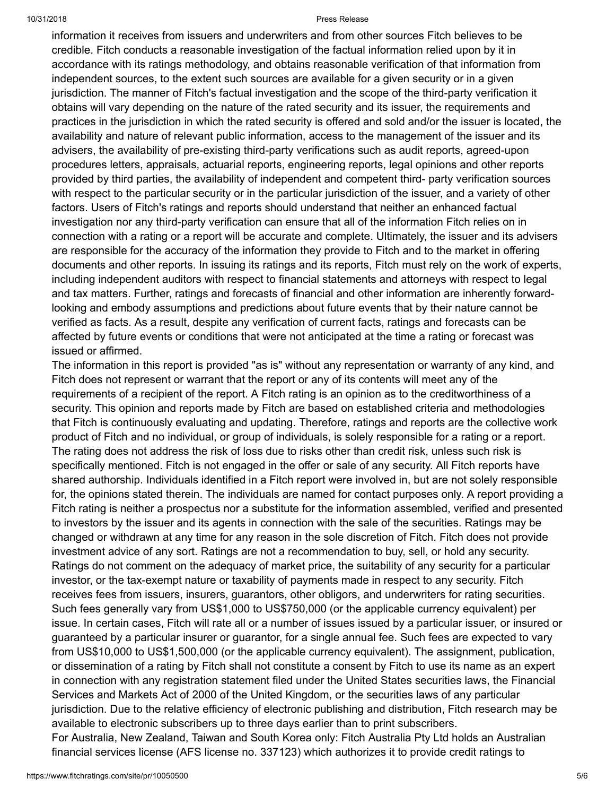information it receives from issuers and underwriters and from other sources Fitch believes to be credible. Fitch conducts a reasonable investigation of the factual information relied upon by it in accordance with its ratings methodology, and obtains reasonable verification of that information from independent sources, to the extent such sources are available for a given security or in a given jurisdiction. The manner of Fitch's factual investigation and the scope of the third-party verification it obtains will vary depending on the nature of the rated security and its issuer, the requirements and practices in the jurisdiction in which the rated security is offered and sold and/or the issuer is located, the availability and nature of relevant public information, access to the management of the issuer and its advisers, the availability of pre-existing third-party verifications such as audit reports, agreed-upon procedures letters, appraisals, actuarial reports, engineering reports, legal opinions and other reports provided by third parties, the availability of independent and competent third- party verification sources with respect to the particular security or in the particular jurisdiction of the issuer, and a variety of other factors. Users of Fitch's ratings and reports should understand that neither an enhanced factual investigation nor any third-party verification can ensure that all of the information Fitch relies on in connection with a rating or a report will be accurate and complete. Ultimately, the issuer and its advisers are responsible for the accuracy of the information they provide to Fitch and to the market in offering documents and other reports. In issuing its ratings and its reports, Fitch must rely on the work of experts, including independent auditors with respect to financial statements and attorneys with respect to legal and tax matters. Further, ratings and forecasts of financial and other information are inherently forwardlooking and embody assumptions and predictions about future events that by their nature cannot be verified as facts. As a result, despite any verification of current facts, ratings and forecasts can be affected by future events or conditions that were not anticipated at the time a rating or forecast was issued or affirmed.

The information in this report is provided "as is" without any representation or warranty of any kind, and Fitch does not represent or warrant that the report or any of its contents will meet any of the requirements of a recipient of the report. A Fitch rating is an opinion as to the creditworthiness of a security. This opinion and reports made by Fitch are based on established criteria and methodologies that Fitch is continuously evaluating and updating. Therefore, ratings and reports are the collective work product of Fitch and no individual, or group of individuals, is solely responsible for a rating or a report. The rating does not address the risk of loss due to risks other than credit risk, unless such risk is specifically mentioned. Fitch is not engaged in the offer or sale of any security. All Fitch reports have shared authorship. Individuals identified in a Fitch report were involved in, but are not solely responsible for, the opinions stated therein. The individuals are named for contact purposes only. A report providing a Fitch rating is neither a prospectus nor a substitute for the information assembled, verified and presented to investors by the issuer and its agents in connection with the sale of the securities. Ratings may be changed or withdrawn at any time for any reason in the sole discretion of Fitch. Fitch does not provide investment advice of any sort. Ratings are not a recommendation to buy, sell, or hold any security. Ratings do not comment on the adequacy of market price, the suitability of any security for a particular investor, or the tax-exempt nature or taxability of payments made in respect to any security. Fitch receives fees from issuers, insurers, guarantors, other obligors, and underwriters for rating securities. Such fees generally vary from US\$1,000 to US\$750,000 (or the applicable currency equivalent) per issue. In certain cases, Fitch will rate all or a number of issues issued by a particular issuer, or insured or guaranteed by a particular insurer or guarantor, for a single annual fee. Such fees are expected to vary from US\$10,000 to US\$1,500,000 (or the applicable currency equivalent). The assignment, publication, or dissemination of a rating by Fitch shall not constitute a consent by Fitch to use its name as an expert in connection with any registration statement filed under the United States securities laws, the Financial Services and Markets Act of 2000 of the United Kingdom, or the securities laws of any particular jurisdiction. Due to the relative efficiency of electronic publishing and distribution, Fitch research may be available to electronic subscribers up to three days earlier than to print subscribers.

For Australia, New Zealand, Taiwan and South Korea only: Fitch Australia Pty Ltd holds an Australian financial services license (AFS license no. 337123) which authorizes it to provide credit ratings to